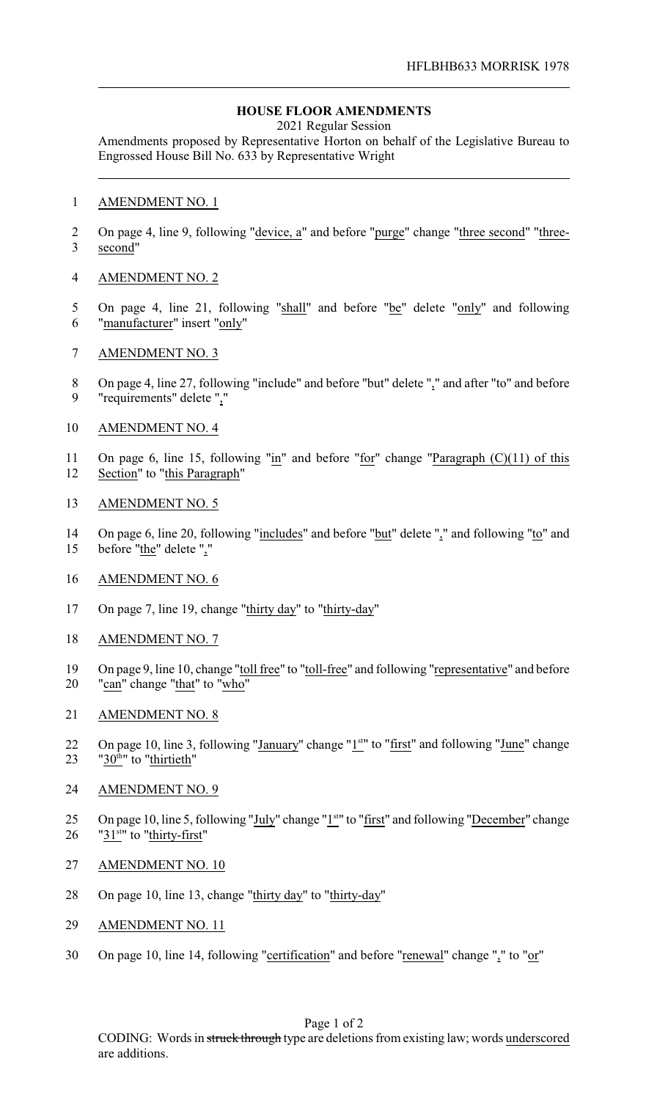## **HOUSE FLOOR AMENDMENTS**

2021 Regular Session

Amendments proposed by Representative Horton on behalf of the Legislative Bureau to Engrossed House Bill No. 633 by Representative Wright

## 1 AMENDMENT NO. 1

- 2 On page 4, line 9, following "<u>device, a</u>" and before "purge" change "three second" "three-3 second"
- 4 AMENDMENT NO. 2
- 5 On page 4, line 21, following "shall" and before "be" delete "only" and following 6 "manufacturer" insert "only"
- 7 AMENDMENT NO. 3
- 8 On page 4, line 27, following "include" and before "but" delete "," and after "to" and before 9 "requirements" delete ","
- 10 AMENDMENT NO. 4
- 11 On page 6, line 15, following "in" and before "for" change "Paragraph (C)(11) of this 12 Section" to "this Paragraph"
- 13 AMENDMENT NO. 5
- 14 On page 6, line 20, following "includes" and before "but" delete "," and following "to" and 15 before "the" delete ","
- 16 AMENDMENT NO. 6
- 17 On page 7, line 19, change "thirty day" to "thirty-day"
- 18 AMENDMENT NO. 7
- 19 On page 9, line 10, change "toll free" to "toll-free" and following "representative" and before 20 "can" change "that" to "who"
- 21 AMENDMENT NO. 8
- 22 On page 10, line 3, following "January" change "1<sup>st</sup>" to "first" and following "June" change 23  $"30<sup>th</sup>"$  to "thirtieth"
- 24 AMENDMENT NO. 9
- 25 On page 10, line 5, following "July" change "1<sup>st</sup>" to "first" and following "December" change 26  $"31<sup>stu</sup>$  to "thirty-first"
- 27 AMENDMENT NO. 10
- 28 On page 10, line 13, change "thirty day" to "thirty-day"
- 29 AMENDMENT NO. 11
- 30 On page 10, line 14, following "certification" and before "renewal" change "," to "or"

Page 1 of 2

CODING: Words in struck through type are deletions from existing law; words underscored are additions.